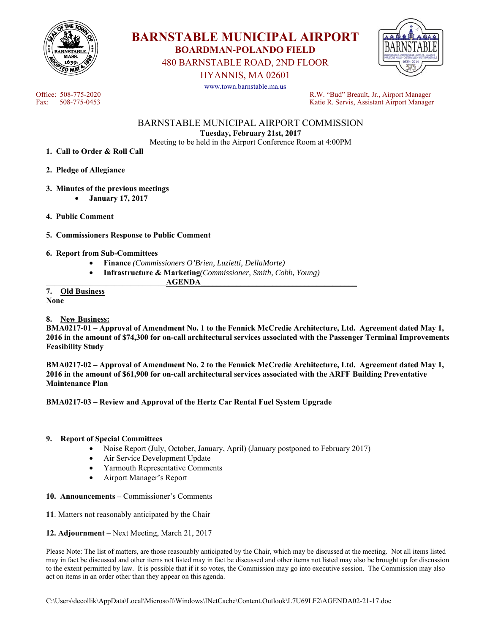

**BARNSTABLE MUNICIPAL AIRPORT BOARDMAN-POLANDO FIELD** 

480 BARNSTABLE ROAD, 2ND FLOOR

HYANNIS, MA 02601

www.town.barnstable.ma.us



Office: 508-775-2020<br>
Fax: 508-775-0453<br>
Fax: 508-775-0453<br>
R.W. "Bud" Breault, Jr., Airport Manager Katie R. Servis, Assistant Airport Manager

> BARNSTABLE MUNICIPAL AIRPORT COMMISSION **Tuesday, February 21st, 2017**

Meeting to be held in the Airport Conference Room at 4:00PM

- **1. Call to Order & Roll Call**
- **2. Pledge of Allegiance**
- **3. Minutes of the previous meetings** 
	- **January 17, 2017**
- **4. Public Comment**
- **5. Commissioners Response to Public Comment**
- **6. Report from Sub-Committees** 
	- **Finance** *(Commissioners O'Brien, Luzietti, DellaMorte)*
	- **Infrastructure & Marketing***(Commissioner, Smith, Cobb, Young)*

 $AGENDA$ 

**7. Old Business None** 

### **8. New Business:**

**BMA0217-01 – Approval of Amendment No. 1 to the Fennick McCredie Architecture, Ltd. Agreement dated May 1, 2016 in the amount of \$74,300 for on-call architectural services associated with the Passenger Terminal Improvements Feasibility Study** 

**BMA0217-02 – Approval of Amendment No. 2 to the Fennick McCredie Architecture, Ltd. Agreement dated May 1, 2016 in the amount of \$61,900 for on-call architectural services associated with the ARFF Building Preventative Maintenance Plan** 

#### **BMA0217-03 – Review and Approval of the Hertz Car Rental Fuel System Upgrade**

#### **9. Report of Special Committees**

- Noise Report (July, October, January, April) (January postponed to February 2017)
- Air Service Development Update
- Yarmouth Representative Comments
- Airport Manager's Report
- **10. Announcements** Commissioner's Comments
- **11**. Matters not reasonably anticipated by the Chair
- **12. Adjournment** Next Meeting, March 21, 2017

Please Note: The list of matters, are those reasonably anticipated by the Chair, which may be discussed at the meeting. Not all items listed may in fact be discussed and other items not listed may in fact be discussed and other items not listed may also be brought up for discussion to the extent permitted by law. It is possible that if it so votes, the Commission may go into executive session. The Commission may also act on items in an order other than they appear on this agenda.

C:\Users\decollik\AppData\Local\Microsoft\Windows\INetCache\Content.Outlook\L7U69LF2\AGENDA02-21-17.doc